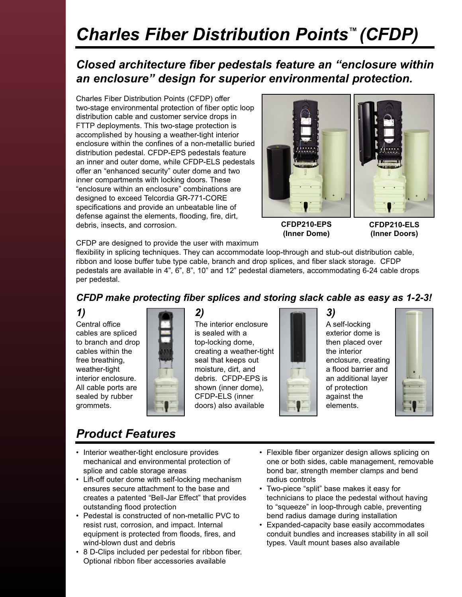## *Charles Fiber Distribution Points™ (CFDP)*

### *Closed architecture fiber pedestals feature an "enclosure within an enclosure" design for superior environmental protection.*

Charles Fiber Distribution Points (CFDP) offer two-stage environmental protection of fiber optic loop distribution cable and customer service drops in FTTP deployments. This two-stage protection is accomplished by housing a weather-tight interior enclosure within the confines of a non-metallic buried distribution pedestal. CFDP-EPS pedestals feature an inner and outer dome, while CFDP-ELS pedestals offer an "enhanced security" outer dome and two inner compartments with locking doors. These "enclosure within an enclosure" combinations are designed to exceed Telcordia GR-771-CORE specifications and provide an unbeatable line of defense against the elements, flooding, fire, dirt, debris, insects, and corrosion.



**CFDP210-EPS (Inner Dome)**

**CFDP210-ELS (Inner Doors)**

CFDP are designed to provide the user with maximum

flexibility in splicing techniques. They can accommodate loop-through and stub-out distribution cable, ribbon and loose buffer tube type cable, branch and drop splices, and fiber slack storage. CFDP pedestals are available in 4", 6", 8", 10" and 12" pedestal diameters, accommodating 6-24 cable drops per pedestal.

### *CFDP make protecting fiber splices and storing slack cable as easy as 1-2-3!*

#### *1)*

Central office cables are spliced to branch and drop cables within the free breathing, weather-tight interior enclosure. All cable ports are sealed by rubber grommets.

*2)*  The interior enclosure is sealed with a top-locking dome, creating a weather-tight seal that keeps out moisture, dirt, and debris. CFDP-EPS is shown (inner dome), CFDP-ELS (inner doors) also available



*3)*  A self-locking exterior dome is then placed over the interior enclosure, creating a flood barrier and an additional layer of protection against the elements.



### *Product Features*

- Interior weather-tight enclosure provides mechanical and environmental protection of splice and cable storage areas
- Lift-off outer dome with self-locking mechanism ensures secure attachment to the base and creates a patented "Bell-Jar Effect" that provides outstanding flood protection
- Pedestal is constructed of non-metallic PVC to resist rust, corrosion, and impact. Internal equipment is protected from floods, fires, and wind-blown dust and debris
- 8 D-Clips included per pedestal for ribbon fiber. Optional ribbon fiber accessories available
- Flexible fiber organizer design allows splicing on one or both sides, cable management, removable bond bar, strength member clamps and bend radius controls
- Two-piece "split" base makes it easy for technicians to place the pedestal without having to "squeeze" in loop-through cable, preventing bend radius damage during installation
- Expanded-capacity base easily accommodates conduit bundles and increases stability in all soil types. Vault mount bases also available